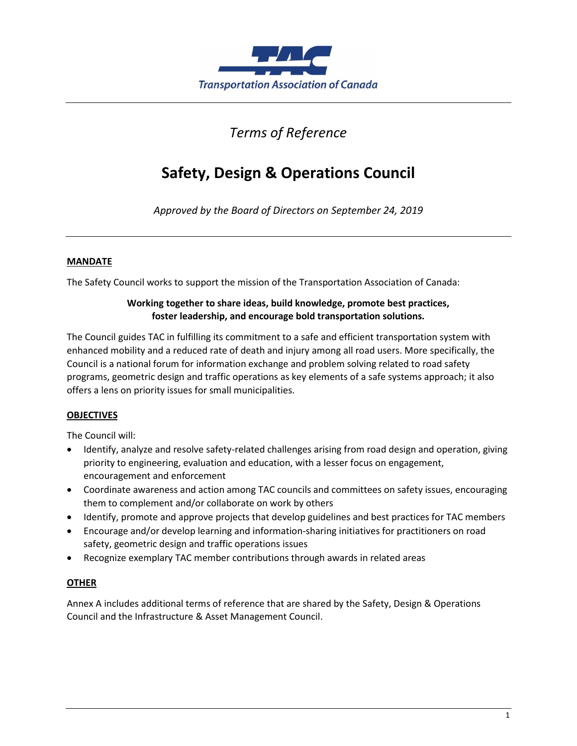

## *Terms of Reference*

# **Safety, Design & Operations Council**

*Approved by the Board of Directors on September 24, 2019*

### **MANDATE**

The Safety Council works to support the mission of the Transportation Association of Canada:

### **Working together to share ideas, build knowledge, promote best practices, foster leadership, and encourage bold transportation solutions.**

The Council guides TAC in fulfilling its commitment to a safe and efficient transportation system with enhanced mobility and a reduced rate of death and injury among all road users. More specifically, the Council is a national forum for information exchange and problem solving related to road safety programs, geometric design and traffic operations as key elements of a safe systems approach; it also offers a lens on priority issues for small municipalities.

### **OBJECTIVES**

The Council will:

- Identify, analyze and resolve safety-related challenges arising from road design and operation, giving priority to engineering, evaluation and education, with a lesser focus on engagement, encouragement and enforcement
- Coordinate awareness and action among TAC councils and committees on safety issues, encouraging them to complement and/or collaborate on work by others
- Identify, promote and approve projects that develop guidelines and best practices for TAC members
- Encourage and/or develop learning and information-sharing initiatives for practitioners on road safety, geometric design and traffic operations issues
- Recognize exemplary TAC member contributions through awards in related areas

### **OTHER**

Annex A includes additional terms of reference that are shared by the Safety, Design & Operations Council and the Infrastructure & Asset Management Council.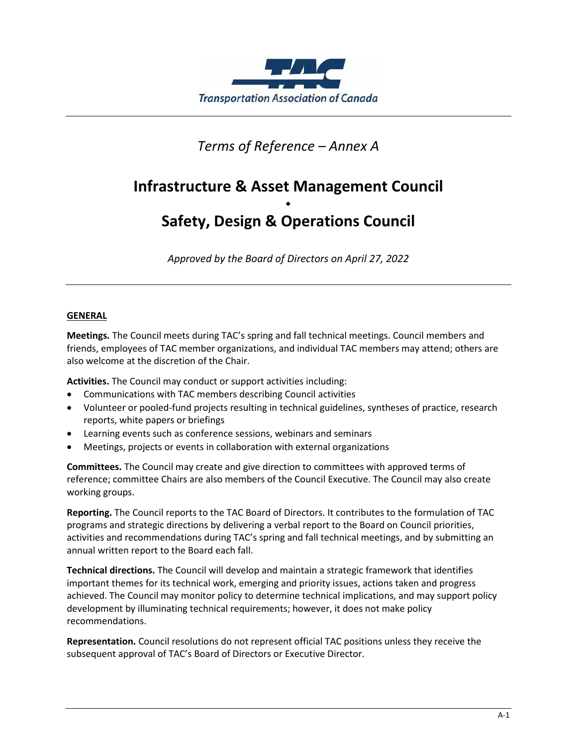

### *Terms of Reference – Annex A*

## **Infrastructure & Asset Management Council**

### $\bullet$ **Safety, Design & Operations Council**

*Approved by the Board of Directors on April 27, 2022*

### **GENERAL**

**Meetings.** The Council meets during TAC's spring and fall technical meetings. Council members and friends, employees of TAC member organizations, and individual TAC members may attend; others are also welcome at the discretion of the Chair.

**Activities.** The Council may conduct or support activities including:

- Communications with TAC members describing Council activities
- Volunteer or pooled-fund projects resulting in technical guidelines, syntheses of practice, research reports, white papers or briefings
- Learning events such as conference sessions, webinars and seminars
- Meetings, projects or events in collaboration with external organizations

**Committees.** The Council may create and give direction to committees with approved terms of reference; committee Chairs are also members of the Council Executive. The Council may also create working groups.

**Reporting.** The Council reports to the TAC Board of Directors. It contributes to the formulation of TAC programs and strategic directions by delivering a verbal report to the Board on Council priorities, activities and recommendations during TAC's spring and fall technical meetings, and by submitting an annual written report to the Board each fall.

**Technical directions.** The Council will develop and maintain a strategic framework that identifies important themes for its technical work, emerging and priority issues, actions taken and progress achieved. The Council may monitor policy to determine technical implications, and may support policy development by illuminating technical requirements; however, it does not make policy recommendations.

**Representation.** Council resolutions do not represent official TAC positions unless they receive the subsequent approval of TAC's Board of Directors or Executive Director.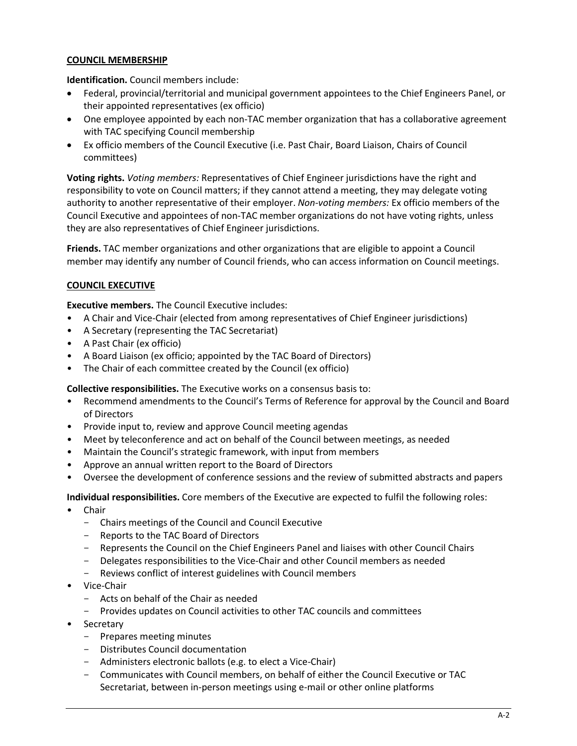### **COUNCIL MEMBERSHIP**

**Identification.** Council members include:

- Federal, provincial/territorial and municipal government appointees to the Chief Engineers Panel, or their appointed representatives (ex officio)
- One employee appointed by each non-TAC member organization that has a collaborative agreement with TAC specifying Council membership
- Ex officio members of the Council Executive (i.e. Past Chair, Board Liaison, Chairs of Council committees)

**Voting rights.** *Voting members:* Representatives of Chief Engineer jurisdictions have the right and responsibility to vote on Council matters; if they cannot attend a meeting, they may delegate voting authority to another representative of their employer. *Non-voting members:* Ex officio members of the Council Executive and appointees of non-TAC member organizations do not have voting rights, unless they are also representatives of Chief Engineer jurisdictions.

**Friends.** TAC member organizations and other organizations that are eligible to appoint a Council member may identify any number of Council friends, who can access information on Council meetings.

### **COUNCIL EXECUTIVE**

**Executive members.** The Council Executive includes:

- A Chair and Vice-Chair (elected from among representatives of Chief Engineer jurisdictions)
- A Secretary (representing the TAC Secretariat)
- A Past Chair (ex officio)
- A Board Liaison (ex officio; appointed by the TAC Board of Directors)
- The Chair of each committee created by the Council (ex officio)

**Collective responsibilities.** The Executive works on a consensus basis to:

- Recommend amendments to the Council's Terms of Reference for approval by the Council and Board of Directors
- Provide input to, review and approve Council meeting agendas
- Meet by teleconference and act on behalf of the Council between meetings, as needed
- Maintain the Council's strategic framework, with input from members
- Approve an annual written report to the Board of Directors
- Oversee the development of conference sessions and the review of submitted abstracts and papers

#### **Individual responsibilities.** Core members of the Executive are expected to fulfil the following roles:

- Chair
	- Chairs meetings of the Council and Council Executive
	- Reports to the TAC Board of Directors
	- Represents the Council on the Chief Engineers Panel and liaises with other Council Chairs
	- Delegates responsibilities to the Vice-Chair and other Council members as needed
	- Reviews conflict of interest guidelines with Council members
- Vice-Chair
	- Acts on behalf of the Chair as needed
	- Provides updates on Council activities to other TAC councils and committees
- **Secretary** 
	- Prepares meeting minutes
	- Distributes Council documentation
	- Administers electronic ballots (e.g. to elect a Vice-Chair)
	- Communicates with Council members, on behalf of either the Council Executive or TAC Secretariat, between in-person meetings using e-mail or other online platforms